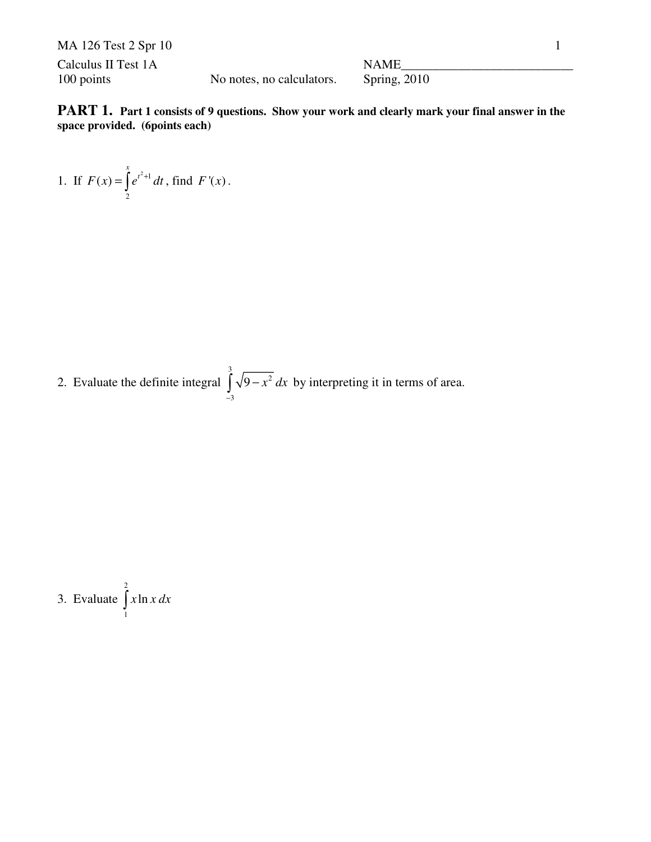| MA 126 Test 2 Spr 10 |                           |                |  |
|----------------------|---------------------------|----------------|--|
| Calculus II Test 1A  |                           | NAME           |  |
| 100 points           | No notes, no calculators. | Spring, $2010$ |  |

**PART 1.** Part 1 consists of 9 questions. Show your work and clearly mark your final answer in the **space provided. (6points each)**

1. If 
$$
F(x) = \int_{2}^{x} e^{t^2+1} dt
$$
, find  $F'(x)$ .

2. Evaluate the definite integral 3 2 3  $9 - x^2 dx$  $\int_{-3} \sqrt{9-x^2} dx$  by interpreting it in terms of area.

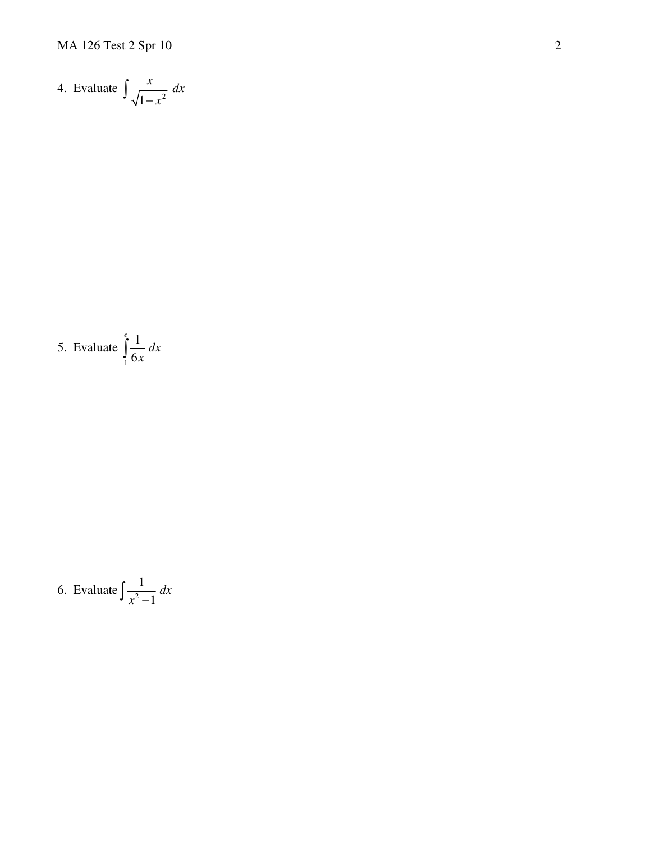4. Evaluate 
$$
\int \frac{x}{\sqrt{1-x^2}} dx
$$

5. Evaluate 
$$
\int_{1}^{e} \frac{1}{6x} dx
$$

6. Evaluate 
$$
\int \frac{1}{x^2 - 1} dx
$$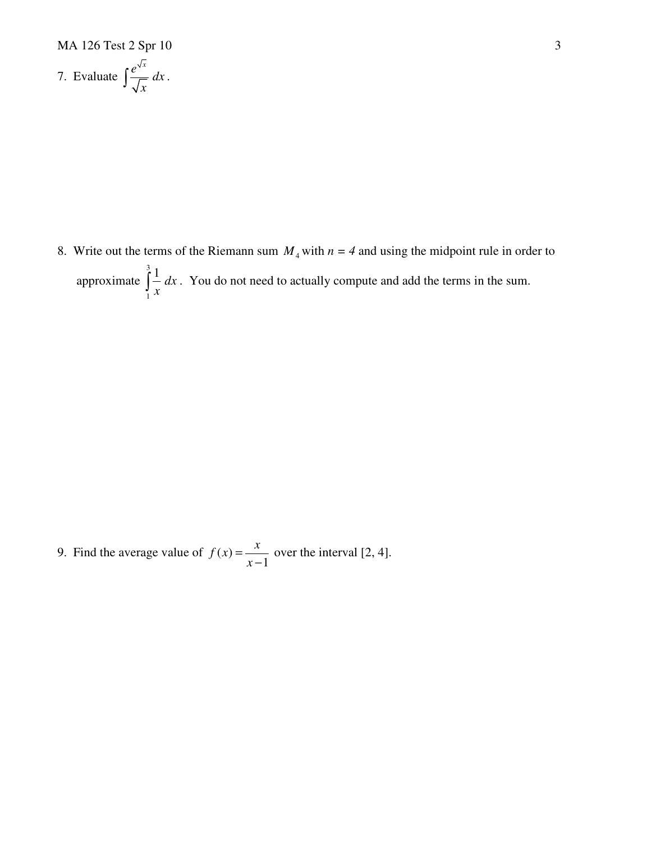MA 126 Test 2 Spr 10 3

7. Evaluate 
$$
\int \frac{e^{\sqrt{x}}}{\sqrt{x}} dx.
$$

8. Write out the terms of the Riemann sum  $M_4$  with  $n = 4$  and using the midpoint rule in order to approximate 3 1 1 *dx*  $\int_{1}^{1} \frac{1}{x} dx$ . You do not need to actually compute and add the terms in the sum.

9. Find the average value of  $f(x)$ 1  $f(x) = \frac{x}{x}$ *x* =  $\frac{\pi}{-1}$  over the interval [2, 4].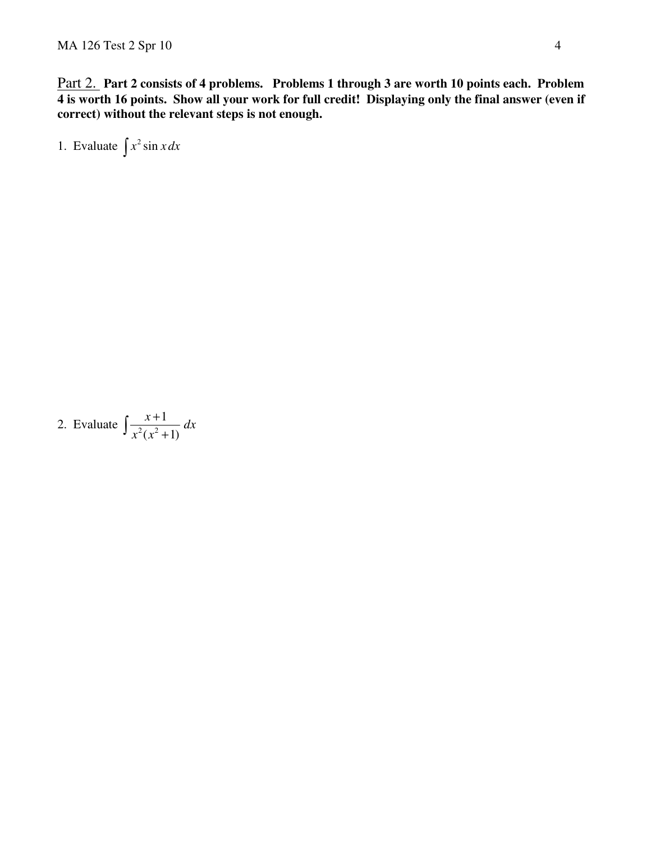Part 2. **Part 2 consists of 4 problems. Problems 1 through 3 are worth 10 points each. Problem 4 is worth 16 points. Show all your work for full credit! Displaying only the final answer (even if correct) without the relevant steps is not enough.** 

1. Evaluate  $\int x^2 \sin x dx$ 

2. Evaluate 
$$
\int \frac{x+1}{x^2(x^2+1)} dx
$$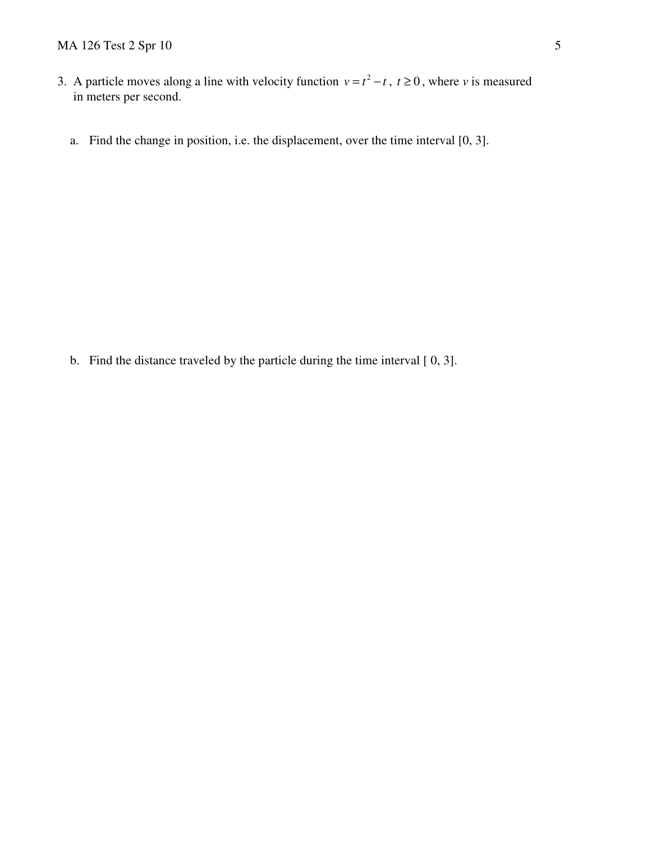- 3. A particle moves along a line with velocity function  $v = t^2 t$ ,  $t \ge 0$ , where *v* is measured in meters per second.
	- a. Find the change in position, i.e. the displacement, over the time interval [0, 3].

b. Find the distance traveled by the particle during the time interval [ 0, 3].